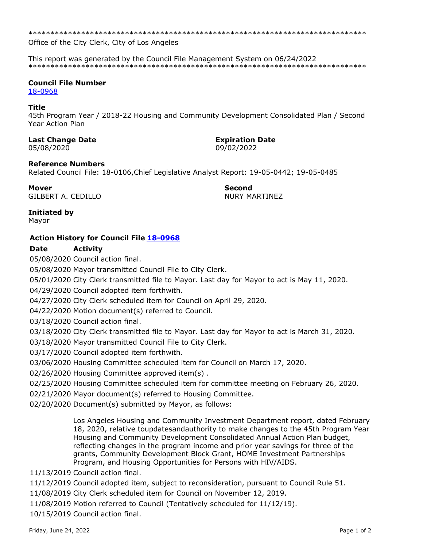\*\*\*\*\*\*\*\*\*\*\*\*\*\*\*\*\*\*\*\*\*\*\*\*\*\*\*\*\*\*\*\*\*\*\*\*\*\*\*\*\*\*\*\*\*\*\*\*\*\*\*\*\*\*\*\*\*\*\*\*\*\*\*\*\*\*\*\*\*\*\*\*\*\*\*\*\*

Office of the City Clerk, City of Los Angeles

This report was generated by the Council File Management System on 06/24/2022 \*\*\*\*\*\*\*\*\*\*\*\*\*\*\*\*\*\*\*\*\*\*\*\*\*\*\*\*\*\*\*\*\*\*\*\*\*\*\*\*\*\*\*\*\*\*\*\*\*\*\*\*\*\*\*\*\*\*\*\*\*\*\*\*\*\*\*\*\*\*\*\*\*\*\*\*\*

## **Council File Number**

[18-0968](https://cityclerk.lacity.org/lacityclerkconnect/index.cfm?fa=ccfi.viewrecord&cfnumber=18-0968)

#### **Title**

45th Program Year / 2018-22 Housing and Community Development Consolidated Plan / Second Year Action Plan

## **Last Change Date Expiration Date**

05/08/2020 09/02/2022

## **Reference Numbers**

Related Council File: 18-0106,Chief Legislative Analyst Report: 19-05-0442; 19-05-0485

**Mover Second** GILBERT A. CEDILLO **NURY MARTINEZ** 

## **Initiated by**

Mayor

# **Action History for Council File [18-0968](https://cityclerk.lacity.org/lacityclerkconnect/index.cfm?fa=ccfi.viewrecord&cfnumber=18-0968)**

# **Date Activity**

05/08/2020 Council action final.

05/08/2020 Mayor transmitted Council File to City Clerk.

05/01/2020 City Clerk transmitted file to Mayor. Last day for Mayor to act is May 11, 2020.

04/29/2020 Council adopted item forthwith.

04/27/2020 City Clerk scheduled item for Council on April 29, 2020.

04/22/2020 Motion document(s) referred to Council.

03/18/2020 Council action final.

03/18/2020 City Clerk transmitted file to Mayor. Last day for Mayor to act is March 31, 2020.

03/18/2020 Mayor transmitted Council File to City Clerk.

03/17/2020 Council adopted item forthwith.

03/06/2020 Housing Committee scheduled item for Council on March 17, 2020.

02/26/2020 Housing Committee approved item(s) .

02/25/2020 Housing Committee scheduled item for committee meeting on February 26, 2020.

02/21/2020 Mayor document(s) referred to Housing Committee.

02/20/2020 Document(s) submitted by Mayor, as follows:

Los Angeles Housing and Community Investment Department report, dated February 18, 2020, relative toupdatesandauthority to make changes to the 45th Program Year Housing and Community Development Consolidated Annual Action Plan budget, reflecting changes in the program income and prior year savings for three of the grants, Community Development Block Grant, HOME Investment Partnerships Program, and Housing Opportunities for Persons with HIV/AIDS.

11/13/2019 Council action final.

11/12/2019 Council adopted item, subject to reconsideration, pursuant to Council Rule 51.

11/08/2019 City Clerk scheduled item for Council on November 12, 2019.

11/08/2019 Motion referred to Council (Tentatively scheduled for 11/12/19).

10/15/2019 Council action final.